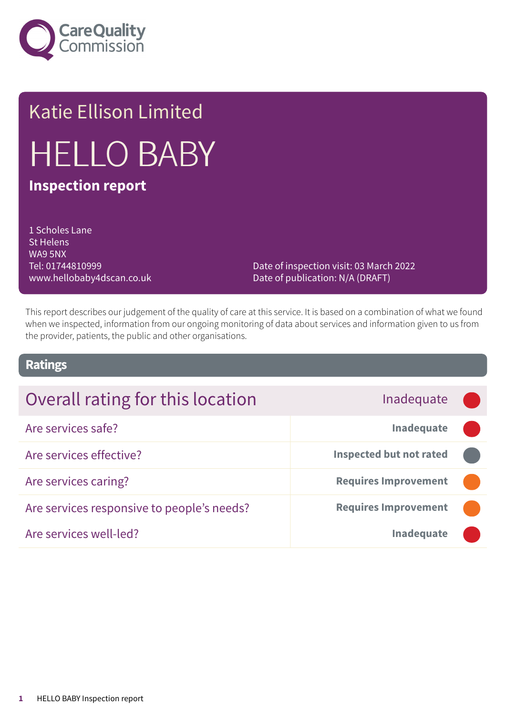

# Katie Ellison Limited HELLO BABY **Inspection report**

1 Scholes Lane St Helens WA9 5NX Tel: 01744810999 www.hellobaby4dscan.co.uk

Date of inspection visit: 03 March 2022 Date of publication: N/A (DRAFT)

This report describes our judgement of the quality of care at this service. It is based on a combination of what we found when we inspected, information from our ongoing monitoring of data about services and information given to us from the provider, patients, the public and other organisations.

### **Ratings**

| Overall rating for this location           | Inadequate                     |  |
|--------------------------------------------|--------------------------------|--|
| Are services safe?                         | Inadequate                     |  |
| Are services effective?                    | <b>Inspected but not rated</b> |  |
| Are services caring?                       | <b>Requires Improvement</b>    |  |
| Are services responsive to people's needs? | <b>Requires Improvement</b>    |  |
| Are services well-led?                     | <b>Inadequate</b>              |  |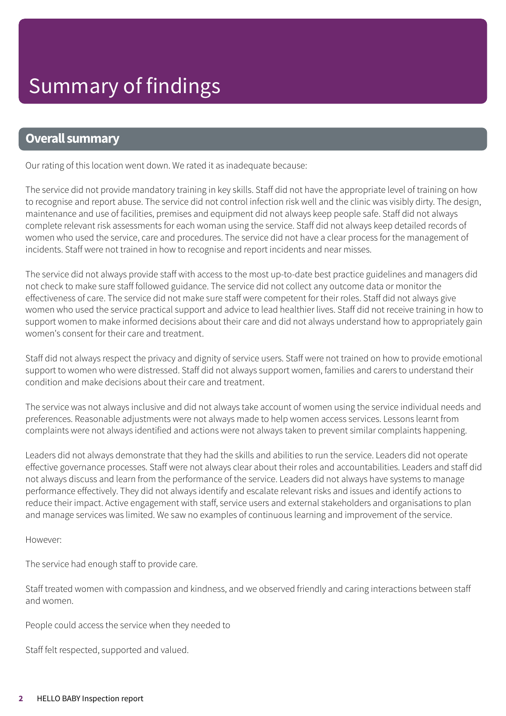### **Overall summary**

Our rating of this location went down. We rated it as inadequate because:

The service did not provide mandatory training in key skills. Staff did not have the appropriate level of training on how to recognise and report abuse. The service did not control infection risk well and the clinic was visibly dirty. The design, maintenance and use of facilities, premises and equipment did not always keep people safe. Staff did not always complete relevant risk assessments for each woman using the service. Staff did not always keep detailed records of women who used the service, care and procedures. The service did not have a clear process for the management of incidents. Staff were not trained in how to recognise and report incidents and near misses.

The service did not always provide staff with access to the most up-to-date best practice guidelines and managers did not check to make sure staff followed guidance. The service did not collect any outcome data or monitor the effectiveness of care. The service did not make sure staff were competent for their roles. Staff did not always give women who used the service practical support and advice to lead healthier lives. Staff did not receive training in how to support women to make informed decisions about their care and did not always understand how to appropriately gain women's consent for their care and treatment.

Staff did not always respect the privacy and dignity of service users. Staff were not trained on how to provide emotional support to women who were distressed. Staff did not always support women, families and carers to understand their condition and make decisions about their care and treatment.

The service was not always inclusive and did not always take account of women using the service individual needs and preferences. Reasonable adjustments were not always made to help women access services. Lessons learnt from complaints were not always identified and actions were not always taken to prevent similar complaints happening.

Leaders did not always demonstrate that they had the skills and abilities to run the service. Leaders did not operate effective governance processes. Staff were not always clear about their roles and accountabilities. Leaders and staff did not always discuss and learn from the performance of the service. Leaders did not always have systems to manage performance effectively. They did not always identify and escalate relevant risks and issues and identify actions to reduce their impact. Active engagement with staff, service users and external stakeholders and organisations to plan and manage services was limited. We saw no examples of continuous learning and improvement of the service.

However:

The service had enough staff to provide care.

Staff treated women with compassion and kindness, and we observed friendly and caring interactions between staff and women.

People could access the service when they needed to

Staff felt respected, supported and valued.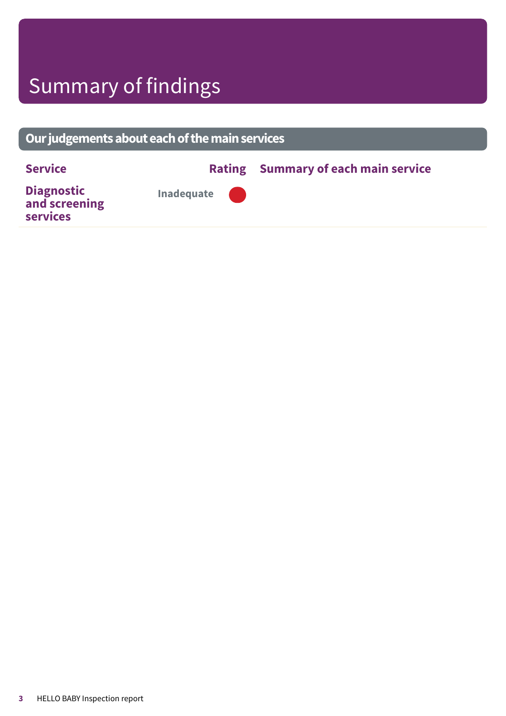# Summary of findings

## **Ourjudgementsabouteachofthemainservices**

**Service Rating Summary of each main service Diagnostic and screening services Inadequate –––**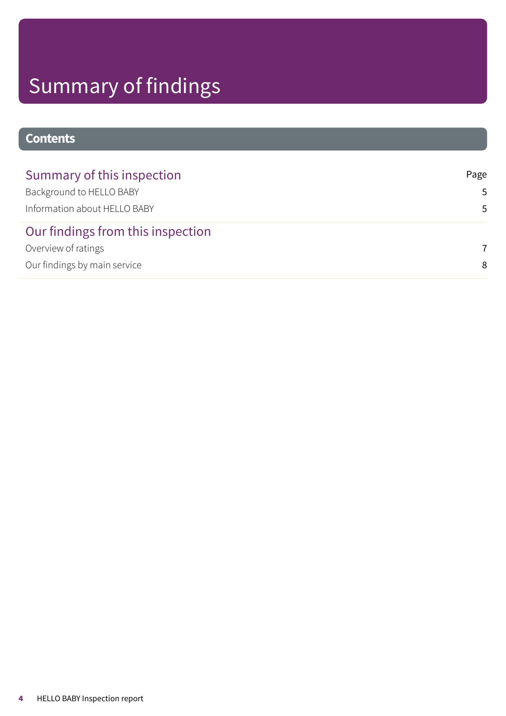# Summary of findings

## **Contents**

| Summary of this inspection        | Page           |
|-----------------------------------|----------------|
| Background to HELLO BABY          | 5              |
| Information about HELLO BABY      | .5             |
| Our findings from this inspection |                |
| Overview of ratings               | $\overline{7}$ |
| Our findings by main service      | 8              |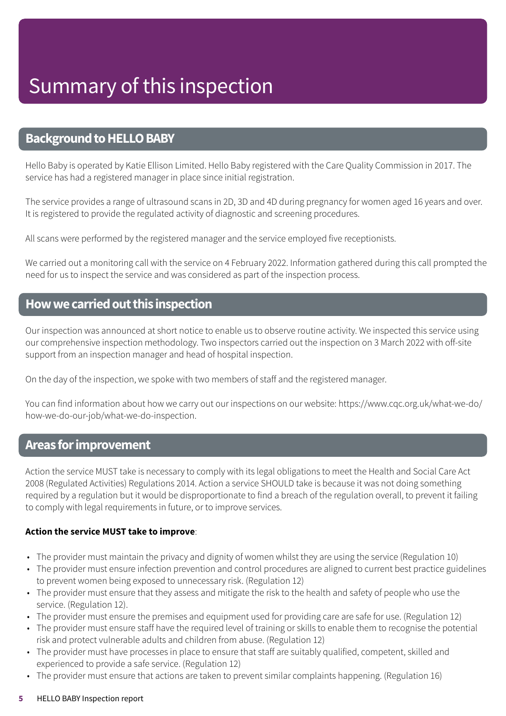### <span id="page-4-0"></span>**Background to HELLO BABY**

Hello Baby is operated by Katie Ellison Limited. Hello Baby registered with the Care Quality Commission in 2017. The service has had a registered manager in place since initial registration.

The service provides a range of ultrasound scans in 2D, 3D and 4D during pregnancy for women aged 16 years and over. It is registered to provide the regulated activity of diagnostic and screening procedures.

All scans were performed by the registered manager and the service employed five receptionists.

We carried out a monitoring call with the service on 4 February 2022. Information gathered during this call prompted the need for us to inspect the service and was considered as part of the inspection process.

### <span id="page-4-1"></span>**Howwecarriedoutthis inspection**

Our inspection was announced at short notice to enable us to observe routine activity. We inspected this service using our comprehensive inspection methodology. Two inspectors carried out the inspection on 3 March 2022 with off-site support from an inspection manager and head of hospital inspection.

On the day of the inspection, we spoke with two members of staff and the registered manager.

You can find information about how we carry out our inspections on our website: https://www.cqc.org.uk/what-we-do/ how-we-do-our-job/what-we-do-inspection.

### **Areas forimprovement**

Action the service MUST take is necessary to comply with its legal obligations to meet the Health and Social Care Act 2008 (Regulated Activities) Regulations 2014. Action a service SHOULD take is because it was not doing something required by a regulation but it would be disproportionate to find a breach of the regulation overall, to prevent it failing to comply with legal requirements in future, or to improve services.

### **Action the service MUST take to improve**:

- The provider must maintain the privacy and dignity of women whilst they are using the service (Regulation 10)
- The provider must ensure infection prevention and control procedures are aligned to current best practice guidelines to prevent women being exposed to unnecessary risk. (Regulation 12)
- The provider must ensure that they assess and mitigate the risk to the health and safety of people who use the service. (Regulation 12).
- The provider must ensure the premises and equipment used for providing care are safe for use. (Regulation 12)
- The provider must ensure staff have the required level of training or skills to enable them to recognise the potential risk and protect vulnerable adults and children from abuse. (Regulation 12)
- The provider must have processes in place to ensure that staff are suitably qualified, competent, skilled and experienced to provide a safe service. (Regulation 12)
- The provider must ensure that actions are taken to prevent similar complaints happening. (Regulation 16)

#### **5** HELLO BABY Inspection report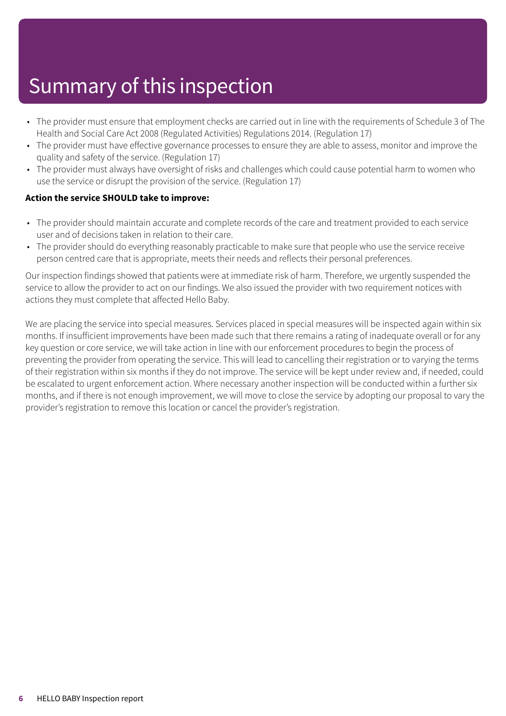# Summary of this inspection

- The provider must ensure that employment checks are carried out in line with the requirements of Schedule 3 of The Health and Social Care Act 2008 (Regulated Activities) Regulations 2014. (Regulation 17)
- The provider must have effective governance processes to ensure they are able to assess, monitor and improve the quality and safety of the service. (Regulation 17)
- The provider must always have oversight of risks and challenges which could cause potential harm to women who use the service or disrupt the provision of the service. (Regulation 17)

### **Action the service SHOULD take to improve:**

- The provider should maintain accurate and complete records of the care and treatment provided to each service user and of decisions taken in relation to their care.
- The provider should do everything reasonably practicable to make sure that people who use the service receive person centred care that is appropriate, meets their needs and reflects their personal preferences.

Our inspection findings showed that patients were at immediate risk of harm. Therefore, we urgently suspended the service to allow the provider to act on our findings. We also issued the provider with two requirement notices with actions they must complete that affected Hello Baby.

We are placing the service into special measures. Services placed in special measures will be inspected again within six months. If insufficient improvements have been made such that there remains a rating of inadequate overall or for any key question or core service, we will take action in line with our enforcement procedures to begin the process of preventing the provider from operating the service. This will lead to cancelling their registration or to varying the terms of their registration within six months if they do not improve. The service will be kept under review and, if needed, could be escalated to urgent enforcement action. Where necessary another inspection will be conducted within a further six months, and if there is not enough improvement, we will move to close the service by adopting our proposal to vary the provider's registration to remove this location or cancel the provider's registration.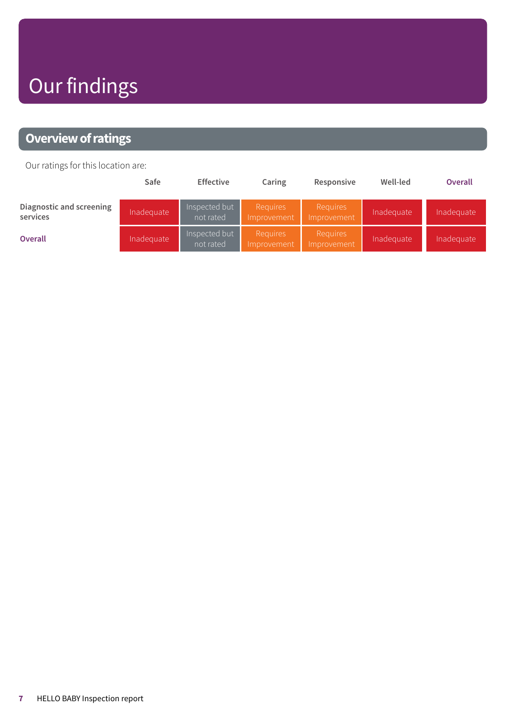# Our findings

## <span id="page-6-0"></span>**Overview of ratings**

Our ratings for this location are:

|                                      | Safe       | <b>Effective</b>           | Caring                         | Responsive                     | Well-led   | <b>Overall</b> |
|--------------------------------------|------------|----------------------------|--------------------------------|--------------------------------|------------|----------------|
| Diagnostic and screening<br>services | Inadequate | Inspected but<br>not rated | <b>Requires</b><br>Improvement | <b>Requires</b><br>Improvement | Inadequate | Inadequate     |
| <b>Overall</b>                       | Inadequate | Inspected but<br>not rated | <b>Requires</b><br>Improvement | <b>Requires</b><br>Improvement | Inadequate | Inadequate     |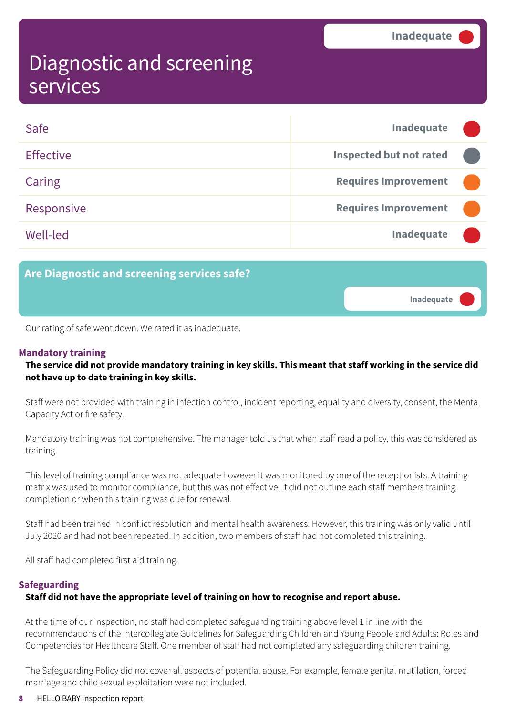**Inadequate –––**

## <span id="page-7-0"></span>Diagnostic and screening services

| Safe             | Inadequate                     |  |
|------------------|--------------------------------|--|
| <b>Effective</b> | <b>Inspected but not rated</b> |  |
| Caring           | <b>Requires Improvement</b>    |  |
| Responsive       | <b>Requires Improvement</b>    |  |
| Well-led         | Inadequate                     |  |

**Are Diagnostic and screening services safe?**

Our rating of safe went down. We rated it as inadequate.

### **Mandatory training**

The service did not provide mandatory training in key skills. This meant that staff working in the service did **not have up to date training in key skills.**

Staff were not provided with training in infection control, incident reporting, equality and diversity, consent, the Mental Capacity Act or fire safety.

Mandatory training was not comprehensive. The manager told us that when staff read a policy, this was considered as training.

This level of training compliance was not adequate however it was monitored by one of the receptionists. A training matrix was used to monitor compliance, but this was not effective. It did not outline each staff members training completion or when this training was due for renewal.

Staff had been trained in conflict resolution and mental health awareness. However, this training was only valid until July 2020 and had not been repeated. In addition, two members of staff had not completed this training.

All staff had completed first aid training.

### **Safeguarding**

### **Staff did not have the appropriate level of training on how to recognise and report abuse.**

At the time of our inspection, no staff had completed safeguarding training above level 1 in line with the recommendations of the Intercollegiate Guidelines for Safeguarding Children and Young People and Adults: Roles and Competencies for Healthcare Staff. One member of staff had not completed any safeguarding children training.

The Safeguarding Policy did not cover all aspects of potential abuse. For example, female genital mutilation, forced marriage and child sexual exploitation were not included.

#### **8** HELLO BABY Inspection report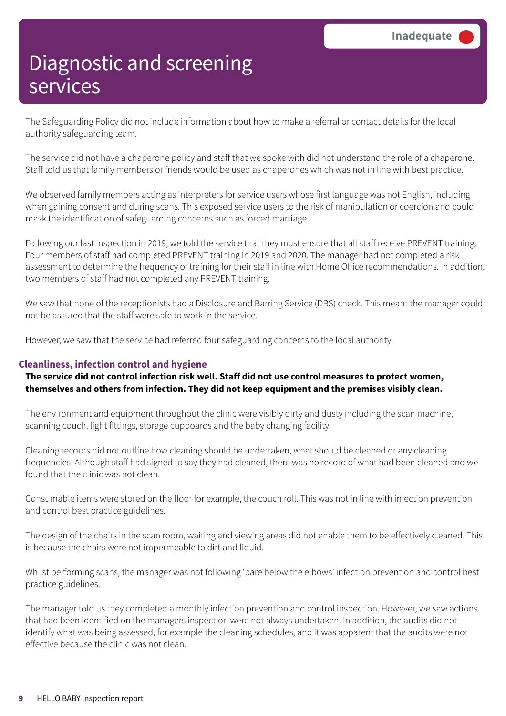The Safeguarding Policy did not include information about how to make a referral or contact details for the local authority safeguarding team.

The service did not have a chaperone policy and staff that we spoke with did not understand the role of a chaperone. Staff told us that family members or friends would be used as chaperones which was not in line with best practice.

We observed family members acting as interpreters for service users whose first language was not English, including when gaining consent and during scans. This exposed service users to the risk of manipulation or coercion and could mask the identification of safeguarding concerns such as forced marriage.

Following our last inspection in 2019, we told the service that they must ensure that all staff receive PREVENT training. Four members of staff had completed PREVENT training in 2019 and 2020. The manager had not completed a risk assessment to determine the frequency of training for their staff in line with Home Office recommendations. In addition, two members of staff had not completed any PREVENT training.

We saw that none of the receptionists had a Disclosure and Barring Service (DBS) check. This meant the manager could not be assured that the staff were safe to work in the service.

However, we saw that the service had referred four safeguarding concerns to the local authority.

### **Cleanliness, infection control and hygiene**

**The service did not control infection risk well. Staff did not use control measures to protect women, themselves and others from infection. They did not keep equipment and the premises visibly clean.**

The environment and equipment throughout the clinic were visibly dirty and dusty including the scan machine, scanning couch, light fittings, storage cupboards and the baby changing facility.

Cleaning records did not outline how cleaning should be undertaken, what should be cleaned or any cleaning frequencies. Although staff had signed to say they had cleaned, there was no record of what had been cleaned and we found that the clinic was not clean.

Consumable items were stored on the floor for example, the couch roll. This was not in line with infection prevention and control best practice guidelines.

The design of the chairs in the scan room, waiting and viewing areas did not enable them to be effectively cleaned. This is because the chairs were not impermeable to dirt and liquid.

Whilst performing scans, the manager was not following 'bare below the elbows' infection prevention and control best practice guidelines.

The manager told us they completed a monthly infection prevention and control inspection. However, we saw actions that had been identified on the managers inspection were not always undertaken. In addition, the audits did not identify what was being assessed, for example the cleaning schedules, and it was apparent that the audits were not effective because the clinic was not clean.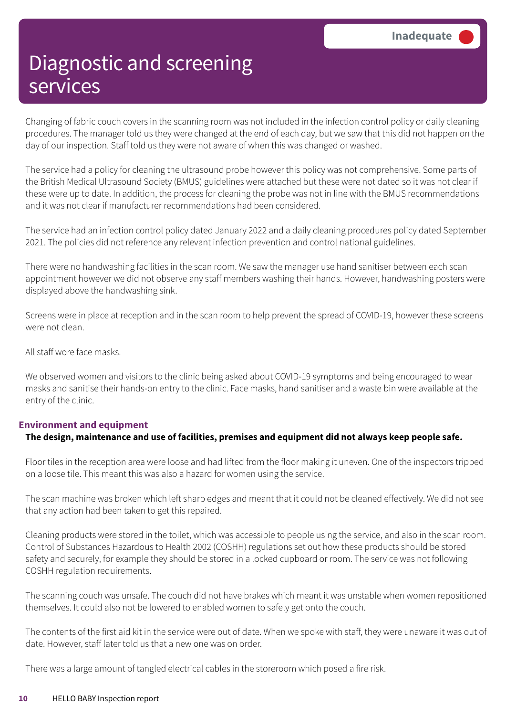Changing of fabric couch covers in the scanning room was not included in the infection control policy or daily cleaning procedures. The manager told us they were changed at the end of each day, but we saw that this did not happen on the day of our inspection. Staff told us they were not aware of when this was changed or washed.

The service had a policy for cleaning the ultrasound probe however this policy was not comprehensive. Some parts of the British Medical Ultrasound Society (BMUS) guidelines were attached but these were not dated so it was not clear if these were up to date. In addition, the process for cleaning the probe was not in line with the BMUS recommendations and it was not clear if manufacturer recommendations had been considered.

The service had an infection control policy dated January 2022 and a daily cleaning procedures policy dated September 2021. The policies did not reference any relevant infection prevention and control national guidelines.

There were no handwashing facilities in the scan room. We saw the manager use hand sanitiser between each scan appointment however we did not observe any staff members washing their hands. However, handwashing posters were displayed above the handwashing sink.

Screens were in place at reception and in the scan room to help prevent the spread of COVID-19, however these screens were not clean.

All staff wore face masks.

We observed women and visitors to the clinic being asked about COVID-19 symptoms and being encouraged to wear masks and sanitise their hands-on entry to the clinic. Face masks, hand sanitiser and a waste bin were available at the entry of the clinic.

### **Environment and equipment**

### **The design, maintenance and use of facilities, premises and equipment did not always keep people safe.**

Floor tiles in the reception area were loose and had lifted from the floor making it uneven. One of the inspectors tripped on a loose tile. This meant this was also a hazard for women using the service.

The scan machine was broken which left sharp edges and meant that it could not be cleaned effectively. We did not see that any action had been taken to get this repaired.

Cleaning products were stored in the toilet, which was accessible to people using the service, and also in the scan room. Control of Substances Hazardous to Health 2002 (COSHH) regulations set out how these products should be stored safety and securely, for example they should be stored in a locked cupboard or room. The service was not following COSHH regulation requirements.

The scanning couch was unsafe. The couch did not have brakes which meant it was unstable when women repositioned themselves. It could also not be lowered to enabled women to safely get onto the couch.

The contents of the first aid kit in the service were out of date. When we spoke with staff, they were unaware it was out of date. However, staff later told us that a new one was on order.

There was a large amount of tangled electrical cables in the storeroom which posed a fire risk.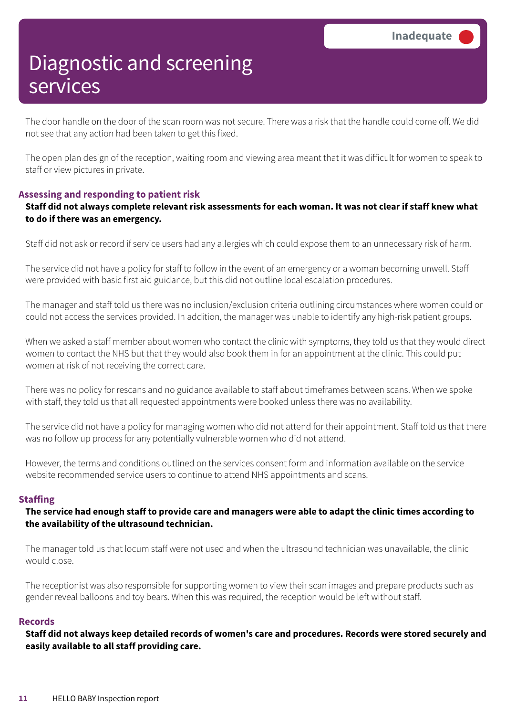The door handle on the door of the scan room was not secure. There was a risk that the handle could come off. We did not see that any action had been taken to get this fixed.

The open plan design of the reception, waiting room and viewing area meant that it was difficult for women to speak to staff or view pictures in private.

### **Assessing and responding to patient risk**

### Staff did not always complete relevant risk assessments for each woman. It was not clear if staff knew what **to do if there was an emergency.**

Staff did not ask or record if service users had any allergies which could expose them to an unnecessary risk of harm.

The service did not have a policy for staff to follow in the event of an emergency or a woman becoming unwell. Staff were provided with basic first aid guidance, but this did not outline local escalation procedures.

The manager and staff told us there was no inclusion/exclusion criteria outlining circumstances where women could or could not access the services provided. In addition, the manager was unable to identify any high-risk patient groups.

When we asked a staff member about women who contact the clinic with symptoms, they told us that they would direct women to contact the NHS but that they would also book them in for an appointment at the clinic. This could put women at risk of not receiving the correct care.

There was no policy for rescans and no guidance available to staff about timeframes between scans. When we spoke with staff, they told us that all requested appointments were booked unless there was no availability.

The service did not have a policy for managing women who did not attend for their appointment. Staff told us that there was no follow up process for any potentially vulnerable women who did not attend.

However, the terms and conditions outlined on the services consent form and information available on the service website recommended service users to continue to attend NHS appointments and scans.

### **Staffing**

The service had enough staff to provide care and managers were able to adapt the clinic times according to **the availability of the ultrasound technician.**

The manager told us that locum staff were not used and when the ultrasound technician was unavailable, the clinic would close.

The receptionist was also responsible for supporting women to view their scan images and prepare products such as gender reveal balloons and toy bears. When this was required, the reception would be left without staff.

#### **Records**

Staff did not always keep detailed records of women's care and procedures. Records were stored securely and **easily available to all staff providing care.**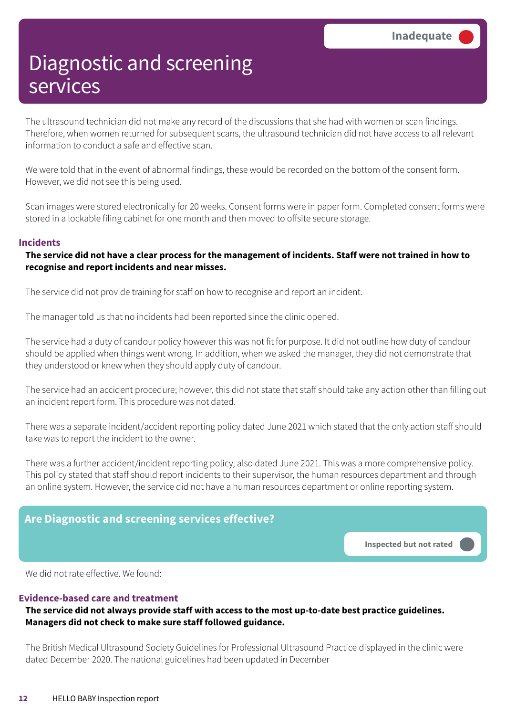The ultrasound technician did not make any record of the discussions that she had with women or scan findings. Therefore, when women returned for subsequent scans, the ultrasound technician did not have access to all relevant information to conduct a safe and effective scan.

We were told that in the event of abnormal findings, these would be recorded on the bottom of the consent form. However, we did not see this being used.

Scan images were stored electronically for 20 weeks. Consent forms were in paper form. Completed consent forms were stored in a lockable filing cabinet for one month and then moved to offsite secure storage.

### **Incidents**

### The service did not have a clear process for the management of incidents. Staff were not trained in how to **recognise and report incidents and near misses.**

The service did not provide training for staff on how to recognise and report an incident.

The manager told us that no incidents had been reported since the clinic opened.

The service had a duty of candour policy however this was not fit for purpose. It did not outline how duty of candour should be applied when things went wrong. In addition, when we asked the manager, they did not demonstrate that they understood or knew when they should apply duty of candour.

The service had an accident procedure; however, this did not state that staff should take any action other than filling out an incident report form. This procedure was not dated.

There was a separate incident/accident reporting policy dated June 2021 which stated that the only action staff should take was to report the incident to the owner.

There was a further accident/incident reporting policy, also dated June 2021. This was a more comprehensive policy. This policy stated that staff should report incidents to their supervisor, the human resources department and through an online system. However, the service did not have a human resources department or online reporting system.

### **Are Diagnostic and screening services effective?**

**Inspected but not rated –––**

We did not rate effective. We found:

### **Evidence-based care and treatment**

### **The service did not always provide staff with access to the most up-to-date best practice guidelines. Managers did not check to make sure staff followed guidance.**

The British Medical Ultrasound Society Guidelines for Professional Ultrasound Practice displayed in the clinic were dated December 2020. The national guidelines had been updated in December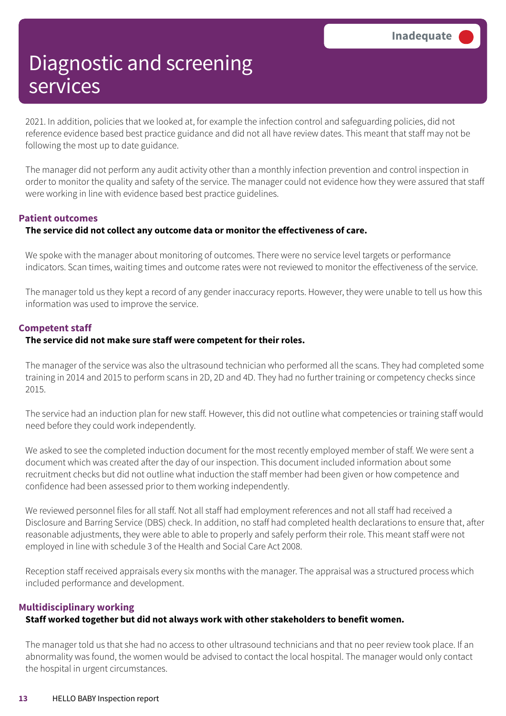2021. In addition, policies that we looked at, for example the infection control and safeguarding policies, did not reference evidence based best practice guidance and did not all have review dates. This meant that staff may not be following the most up to date guidance.

The manager did not perform any audit activity other than a monthly infection prevention and control inspection in order to monitor the quality and safety of the service. The manager could not evidence how they were assured that staff were working in line with evidence based best practice guidelines.

### **Patient outcomes**

### **The service did not collect any outcome data or monitor the effectiveness of care.**

We spoke with the manager about monitoring of outcomes. There were no service level targets or performance indicators. Scan times, waiting times and outcome rates were not reviewed to monitor the effectiveness of the service.

The manager told us they kept a record of any gender inaccuracy reports. However, they were unable to tell us how this information was used to improve the service.

### **Competent staff**

### **The service did not make sure staff were competent for their roles.**

The manager of the service was also the ultrasound technician who performed all the scans. They had completed some training in 2014 and 2015 to perform scans in 2D, 2D and 4D. They had no further training or competency checks since 2015.

The service had an induction plan for new staff. However, this did not outline what competencies or training staff would need before they could work independently.

We asked to see the completed induction document for the most recently employed member of staff. We were sent a document which was created after the day of our inspection. This document included information about some recruitment checks but did not outline what induction the staff member had been given or how competence and confidence had been assessed prior to them working independently.

We reviewed personnel files for all staff. Not all staff had employment references and not all staff had received a Disclosure and Barring Service (DBS) check. In addition, no staff had completed health declarations to ensure that, after reasonable adjustments, they were able to able to properly and safely perform their role. This meant staff were not employed in line with schedule 3 of the Health and Social Care Act 2008.

Reception staff received appraisals every six months with the manager. The appraisal was a structured process which included performance and development.

### **Multidisciplinary working**

### **Staff worked together but did not always work with other stakeholders to benefit women.**

The manager told us that she had no access to other ultrasound technicians and that no peer review took place. If an abnormality was found, the women would be advised to contact the local hospital. The manager would only contact the hospital in urgent circumstances.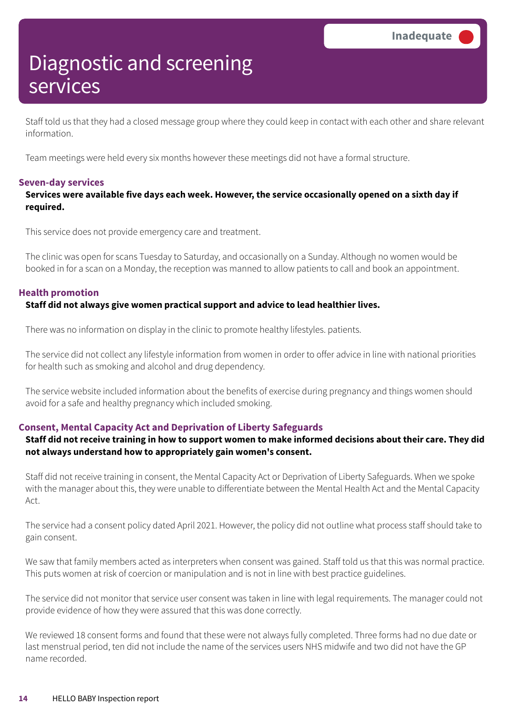Staff told us that they had a closed message group where they could keep in contact with each other and share relevant information.

Team meetings were held every six months however these meetings did not have a formal structure.

### **Seven-day services**

### **Services were available five days each week. However, the service occasionally opened on a sixth day if required.**

This service does not provide emergency care and treatment.

The clinic was open for scans Tuesday to Saturday, and occasionally on a Sunday. Although no women would be booked in for a scan on a Monday, the reception was manned to allow patients to call and book an appointment.

### **Health promotion**

### **Staff did not always give women practical support and advice to lead healthier lives.**

There was no information on display in the clinic to promote healthy lifestyles. patients.

The service did not collect any lifestyle information from women in order to offer advice in line with national priorities for health such as smoking and alcohol and drug dependency.

The service website included information about the benefits of exercise during pregnancy and things women should avoid for a safe and healthy pregnancy which included smoking.

### **Consent, Mental Capacity Act and Deprivation of Liberty Safeguards**

### Staff did not receive training in how to support women to make informed decisions about their care. They did **not always understand how to appropriately gain women's consent.**

Staff did not receive training in consent, the Mental Capacity Act or Deprivation of Liberty Safeguards. When we spoke with the manager about this, they were unable to differentiate between the Mental Health Act and the Mental Capacity Act.

The service had a consent policy dated April 2021. However, the policy did not outline what process staff should take to gain consent.

We saw that family members acted as interpreters when consent was gained. Staff told us that this was normal practice. This puts women at risk of coercion or manipulation and is not in line with best practice guidelines.

The service did not monitor that service user consent was taken in line with legal requirements. The manager could not provide evidence of how they were assured that this was done correctly.

We reviewed 18 consent forms and found that these were not always fully completed. Three forms had no due date or last menstrual period, ten did not include the name of the services users NHS midwife and two did not have the GP name recorded.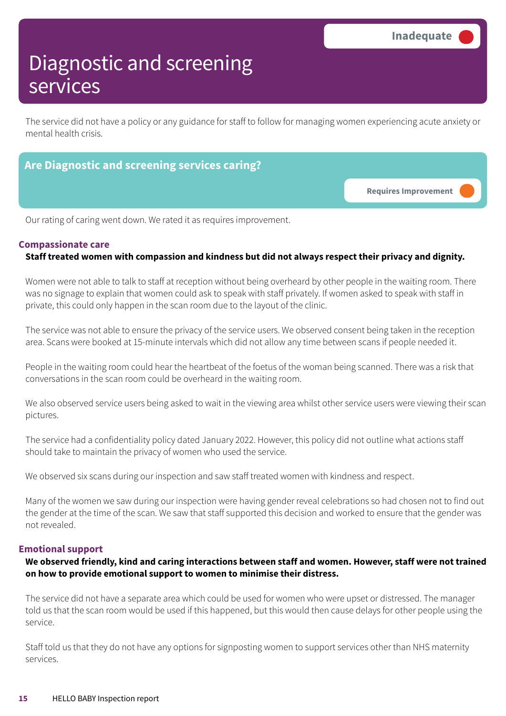The service did not have a policy or any guidance for staff to follow for managing women experiencing acute anxiety or mental health crisis.

# **Are Diagnostic and screening services caring? Requires Improvement –––**

Our rating of caring went down. We rated it as requires improvement.

### **Compassionate care**

### **Staff treated women with compassion and kindness but did not always respect their privacy and dignity.**

Women were not able to talk to staff at reception without being overheard by other people in the waiting room. There was no signage to explain that women could ask to speak with staff privately. If women asked to speak with staff in private, this could only happen in the scan room due to the layout of the clinic.

The service was not able to ensure the privacy of the service users. We observed consent being taken in the reception area. Scans were booked at 15-minute intervals which did not allow any time between scans if people needed it.

People in the waiting room could hear the heartbeat of the foetus of the woman being scanned. There was a risk that conversations in the scan room could be overheard in the waiting room.

We also observed service users being asked to wait in the viewing area whilst other service users were viewing their scan pictures.

The service had a confidentiality policy dated January 2022. However, this policy did not outline what actions staff should take to maintain the privacy of women who used the service.

We observed six scans during our inspection and saw staff treated women with kindness and respect.

Many of the women we saw during our inspection were having gender reveal celebrations so had chosen not to find out the gender at the time of the scan. We saw that staff supported this decision and worked to ensure that the gender was not revealed.

### **Emotional support**

**We observed friendly, kind and caring interactions between staff and women. However, staff were not trained on how to provide emotional support to women to minimise their distress.**

The service did not have a separate area which could be used for women who were upset or distressed. The manager told us that the scan room would be used if this happened, but this would then cause delays for other people using the service.

Staff told us that they do not have any options for signposting women to support services other than NHS maternity services.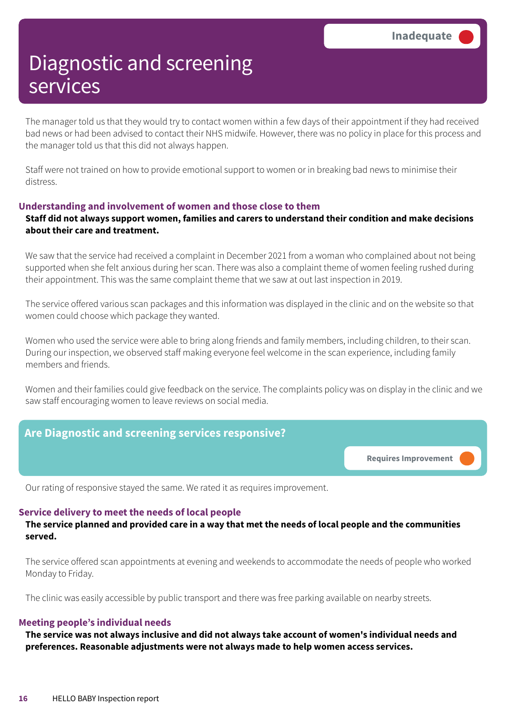The manager told us that they would try to contact women within a few days of their appointment if they had received bad news or had been advised to contact their NHS midwife. However, there was no policy in place for this process and the manager told us that this did not always happen.

Staff were not trained on how to provide emotional support to women or in breaking bad news to minimise their distress.

### **Understanding and involvement of women and those close to them**

### **Staff did not always support women, families and carers to understand their condition and make decisions about their care and treatment.**

We saw that the service had received a complaint in December 2021 from a woman who complained about not being supported when she felt anxious during her scan. There was also a complaint theme of women feeling rushed during their appointment. This was the same complaint theme that we saw at out last inspection in 2019.

The service offered various scan packages and this information was displayed in the clinic and on the website so that women could choose which package they wanted.

Women who used the service were able to bring along friends and family members, including children, to their scan. During our inspection, we observed staff making everyone feel welcome in the scan experience, including family members and friends.

Women and their families could give feedback on the service. The complaints policy was on display in the clinic and we saw staff encouraging women to leave reviews on social media.

# **Are Diagnostic and screening services responsive? Requires Improvement –––**

Our rating of responsive stayed the same. We rated it as requires improvement.

### **Service delivery to meet the needs of local people**

The service planned and provided care in a way that met the needs of local people and the communities **served.**

The service offered scan appointments at evening and weekends to accommodate the needs of people who worked Monday to Friday.

The clinic was easily accessible by public transport and there was free parking available on nearby streets.

### **Meeting people's individual needs**

**The service was not always inclusive and did not always take account of women's individual needs and preferences. Reasonable adjustments were not always made to help women access services.**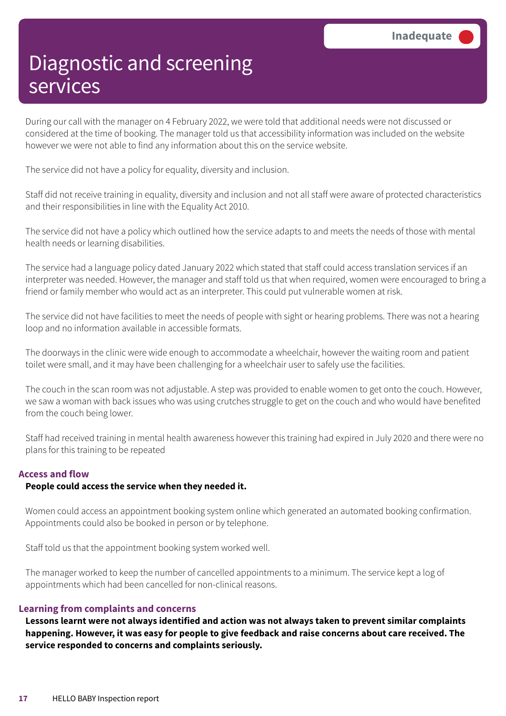During our call with the manager on 4 February 2022, we were told that additional needs were not discussed or considered at the time of booking. The manager told us that accessibility information was included on the website however we were not able to find any information about this on the service website.

The service did not have a policy for equality, diversity and inclusion.

Staff did not receive training in equality, diversity and inclusion and not all staff were aware of protected characteristics and their responsibilities in line with the Equality Act 2010.

The service did not have a policy which outlined how the service adapts to and meets the needs of those with mental health needs or learning disabilities.

The service had a language policy dated January 2022 which stated that staff could access translation services if an interpreter was needed. However, the manager and staff told us that when required, women were encouraged to bring a friend or family member who would act as an interpreter. This could put vulnerable women at risk.

The service did not have facilities to meet the needs of people with sight or hearing problems. There was not a hearing loop and no information available in accessible formats.

The doorways in the clinic were wide enough to accommodate a wheelchair, however the waiting room and patient toilet were small, and it may have been challenging for a wheelchair user to safely use the facilities.

The couch in the scan room was not adjustable. A step was provided to enable women to get onto the couch. However, we saw a woman with back issues who was using crutches struggle to get on the couch and who would have benefited from the couch being lower.

Staff had received training in mental health awareness however this training had expired in July 2020 and there were no plans for this training to be repeated

### **Access and flow**

### **People could access the service when they needed it.**

Women could access an appointment booking system online which generated an automated booking confirmation. Appointments could also be booked in person or by telephone.

Staff told us that the appointment booking system worked well.

The manager worked to keep the number of cancelled appointments to a minimum. The service kept a log of appointments which had been cancelled for non-clinical reasons.

### **Learning from complaints and concerns**

**Lessons learnt were not always identified and action was not always taken to prevent similar complaints happening. However, it was easy for people to give feedback and raise concerns about care received. The service responded to concerns and complaints seriously.**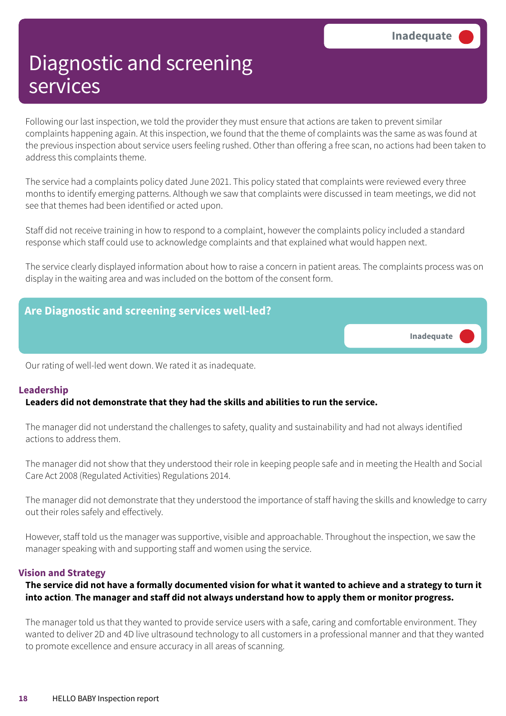Following our last inspection, we told the provider they must ensure that actions are taken to prevent similar complaints happening again. At this inspection, we found that the theme of complaints was the same as was found at the previous inspection about service users feeling rushed. Other than offering a free scan, no actions had been taken to address this complaints theme.

The service had a complaints policy dated June 2021. This policy stated that complaints were reviewed every three months to identify emerging patterns. Although we saw that complaints were discussed in team meetings, we did not see that themes had been identified or acted upon.

Staff did not receive training in how to respond to a complaint, however the complaints policy included a standard response which staff could use to acknowledge complaints and that explained what would happen next.

The service clearly displayed information about how to raise a concern in patient areas. The complaints process was on display in the waiting area and was included on the bottom of the consent form.



### **Leadership**

### **Leaders did not demonstrate that they had the skills and abilities to run the service.**

The manager did not understand the challenges to safety, quality and sustainability and had not always identified actions to address them.

The manager did not show that they understood their role in keeping people safe and in meeting the Health and Social Care Act 2008 (Regulated Activities) Regulations 2014.

The manager did not demonstrate that they understood the importance of staff having the skills and knowledge to carry out their roles safely and effectively.

However, staff told us the manager was supportive, visible and approachable. Throughout the inspection, we saw the manager speaking with and supporting staff and women using the service.

### **Vision and Strategy**

### The service did not have a formally documented vision for what it wanted to achieve and a strategy to turn it **into action**. **The manager and staff did not always understand how to apply them or monitor progress.**

The manager told us that they wanted to provide service users with a safe, caring and comfortable environment. They wanted to deliver 2D and 4D live ultrasound technology to all customers in a professional manner and that they wanted to promote excellence and ensure accuracy in all areas of scanning.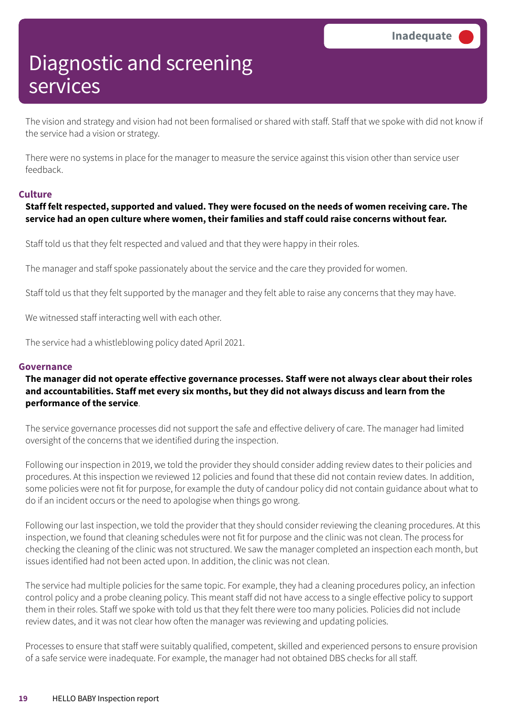The vision and strategy and vision had not been formalised or shared with staff. Staff that we spoke with did not know if the service had a vision or strategy.

There were no systems in place for the manager to measure the service against this vision other than service user feedback.

### **Culture**

### **Staff felt respected, supported and valued. They were focused on the needs of women receiving care. The service had an open culture where women, their families and staff could raise concerns without fear.**

Staff told us that they felt respected and valued and that they were happy in their roles.

The manager and staff spoke passionately about the service and the care they provided for women.

Staff told us that they felt supported by the manager and they felt able to raise any concerns that they may have.

We witnessed staff interacting well with each other.

The service had a whistleblowing policy dated April 2021.

#### **Governance**

### **The manager did not operate effective governance processes. Staff were not always clear about their roles and accountabilities. Staff met every six months, but they did not always discuss and learn from the performance of the service**.

The service governance processes did not support the safe and effective delivery of care. The manager had limited oversight of the concerns that we identified during the inspection.

Following our inspection in 2019, we told the provider they should consider adding review dates to their policies and procedures. At this inspection we reviewed 12 policies and found that these did not contain review dates. In addition, some policies were not fit for purpose, for example the duty of candour policy did not contain guidance about what to do if an incident occurs or the need to apologise when things go wrong.

Following our last inspection, we told the provider that they should consider reviewing the cleaning procedures. At this inspection, we found that cleaning schedules were not fit for purpose and the clinic was not clean. The process for checking the cleaning of the clinic was not structured. We saw the manager completed an inspection each month, but issues identified had not been acted upon. In addition, the clinic was not clean.

The service had multiple policies for the same topic. For example, they had a cleaning procedures policy, an infection control policy and a probe cleaning policy. This meant staff did not have access to a single effective policy to support them in their roles. Staff we spoke with told us that they felt there were too many policies. Policies did not include review dates, and it was not clear how often the manager was reviewing and updating policies.

Processes to ensure that staff were suitably qualified, competent, skilled and experienced persons to ensure provision of a safe service were inadequate. For example, the manager had not obtained DBS checks for all staff.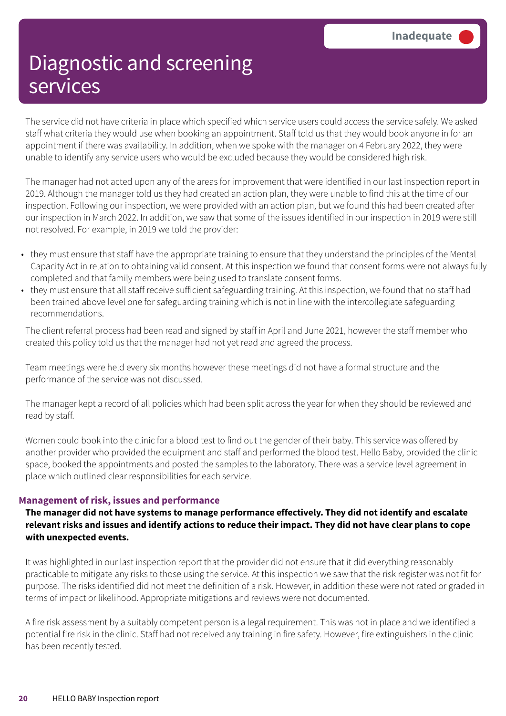The service did not have criteria in place which specified which service users could access the service safely. We asked staff what criteria they would use when booking an appointment. Staff told us that they would book anyone in for an appointment if there was availability. In addition, when we spoke with the manager on 4 February 2022, they were unable to identify any service users who would be excluded because they would be considered high risk.

The manager had not acted upon any of the areas for improvement that were identified in our last inspection report in 2019. Although the manager told us they had created an action plan, they were unable to find this at the time of our inspection. Following our inspection, we were provided with an action plan, but we found this had been created after our inspection in March 2022. In addition, we saw that some of the issues identified in our inspection in 2019 were still not resolved. For example, in 2019 we told the provider:

- they must ensure that staff have the appropriate training to ensure that they understand the principles of the Mental Capacity Act in relation to obtaining valid consent. At this inspection we found that consent forms were not always fully completed and that family members were being used to translate consent forms.
- they must ensure that all staff receive sufficient safeguarding training. At this inspection, we found that no staff had been trained above level one for safeguarding training which is not in line with the intercollegiate safeguarding recommendations.

The client referral process had been read and signed by staff in April and June 2021, however the staff member who created this policy told us that the manager had not yet read and agreed the process.

Team meetings were held every six months however these meetings did not have a formal structure and the performance of the service was not discussed.

The manager kept a record of all policies which had been split across the year for when they should be reviewed and read by staff.

Women could book into the clinic for a blood test to find out the gender of their baby. This service was offered by another provider who provided the equipment and staff and performed the blood test. Hello Baby, provided the clinic space, booked the appointments and posted the samples to the laboratory. There was a service level agreement in place which outlined clear responsibilities for each service.

### **Management of risk, issues and performance**

### **The manager did not have systems to manage performance effectively. They did not identify and escalate** relevant risks and issues and identify actions to reduce their impact. They did not have clear plans to cope **with unexpected events.**

It was highlighted in our last inspection report that the provider did not ensure that it did everything reasonably practicable to mitigate any risks to those using the service. At this inspection we saw that the risk register was not fit for purpose. The risks identified did not meet the definition of a risk. However, in addition these were not rated or graded in terms of impact or likelihood. Appropriate mitigations and reviews were not documented.

A fire risk assessment by a suitably competent person is a legal requirement. This was not in place and we identified a potential fire risk in the clinic. Staff had not received any training in fire safety. However, fire extinguishers in the clinic has been recently tested.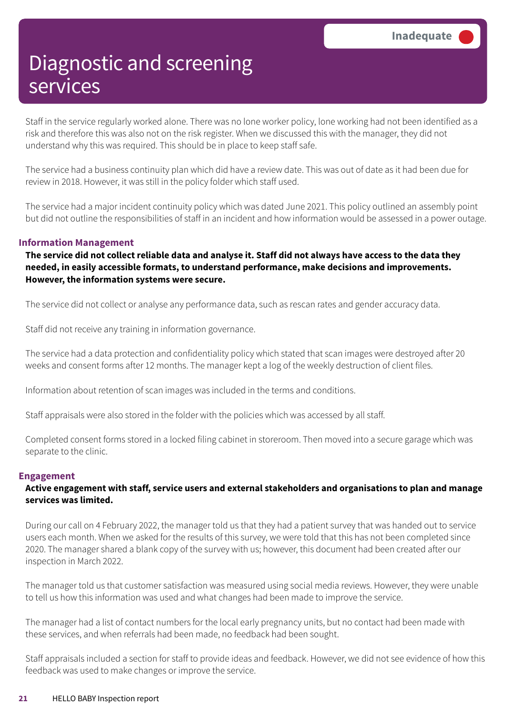Staff in the service regularly worked alone. There was no lone worker policy, lone working had not been identified as a risk and therefore this was also not on the risk register. When we discussed this with the manager, they did not understand why this was required. This should be in place to keep staff safe.

The service had a business continuity plan which did have a review date. This was out of date as it had been due for review in 2018. However, it was still in the policy folder which staff used.

The service had a major incident continuity policy which was dated June 2021. This policy outlined an assembly point but did not outline the responsibilities of staff in an incident and how information would be assessed in a power outage.

### **Information Management**

The service did not collect reliable data and analyse it. Staff did not always have access to the data they **needed, in easily accessible formats, to understand performance, make decisions and improvements. However, the information systems were secure.**

The service did not collect or analyse any performance data, such as rescan rates and gender accuracy data.

Staff did not receive any training in information governance.

The service had a data protection and confidentiality policy which stated that scan images were destroyed after 20 weeks and consent forms after 12 months. The manager kept a log of the weekly destruction of client files.

Information about retention of scan images was included in the terms and conditions.

Staff appraisals were also stored in the folder with the policies which was accessed by all staff.

Completed consent forms stored in a locked filing cabinet in storeroom. Then moved into a secure garage which was separate to the clinic.

#### **Engagement**

### **Active engagement with staff, service users and external stakeholders and organisations to plan and manage services was limited.**

During our call on 4 February 2022, the manager told us that they had a patient survey that was handed out to service users each month. When we asked for the results of this survey, we were told that this has not been completed since 2020. The manager shared a blank copy of the survey with us; however, this document had been created after our inspection in March 2022.

The manager told us that customer satisfaction was measured using social media reviews. However, they were unable to tell us how this information was used and what changes had been made to improve the service.

The manager had a list of contact numbers for the local early pregnancy units, but no contact had been made with these services, and when referrals had been made, no feedback had been sought.

Staff appraisals included a section for staff to provide ideas and feedback. However, we did not see evidence of how this feedback was used to make changes or improve the service.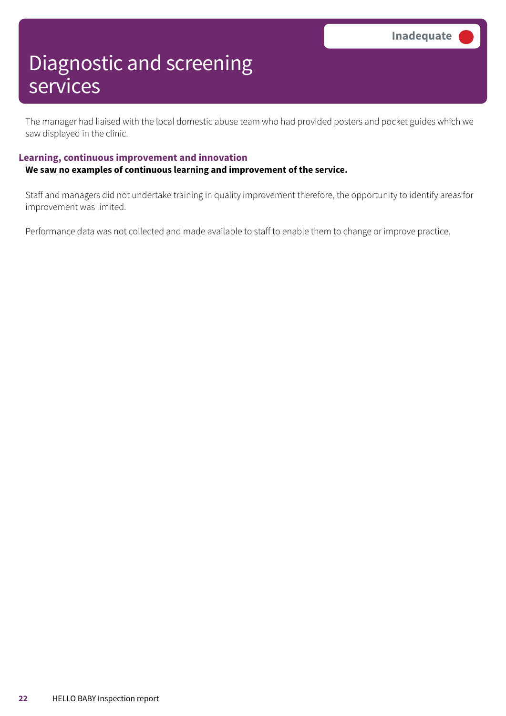The manager had liaised with the local domestic abuse team who had provided posters and pocket guides which we saw displayed in the clinic.

### **Learning, continuous improvement and innovation**

### **We saw no examples of continuous learning and improvement of the service.**

Staff and managers did not undertake training in quality improvement therefore, the opportunity to identify areas for improvement was limited.

Performance data was not collected and made available to staff to enable them to change or improve practice.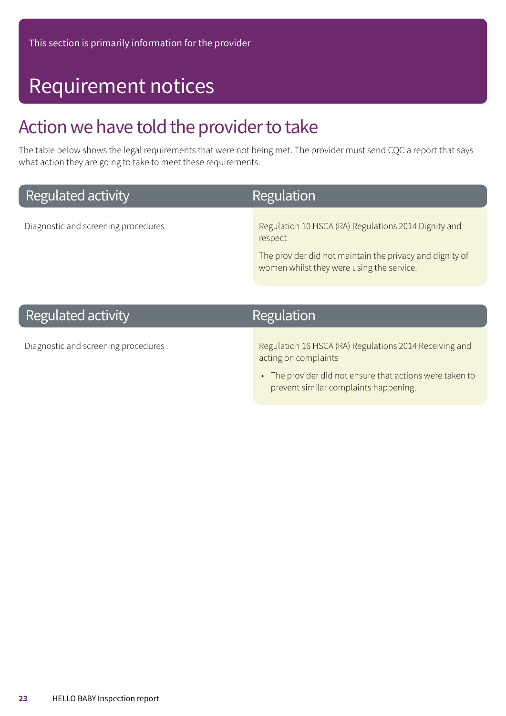# Requirement notices

## Action we have told the provider to take

The table below shows the legal requirements that were not being met. The provider must send CQC a report that says what action they are going to take to meet these requirements.

Regulation

## **Regulated activity**

Diagnostic and screening procedures **Regulation 10 HSCA (RA) Regulations 2014 Dignity and** respect

> The provider did not maintain the privacy and dignity of women whilst they were using the service.

## **Regulated activity**

## Diagnostic and screening procedures **Regulation 16 HSCA (RA) Regulations 2014 Receiving and**

acting on complaints

Regulation

• The provider did not ensure that actions were taken to prevent similar complaints happening.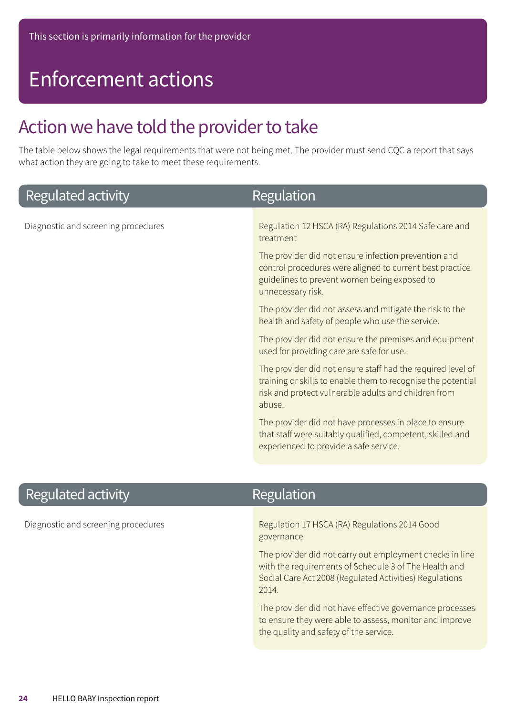# Enforcement actions

## Action we have told the provider to take

The table below shows the legal requirements that were not being met. The provider must send CQC a report that says what action they are going to take to meet these requirements.

| Regulated activity                  | Regulation                                                                                                                                                                                    |
|-------------------------------------|-----------------------------------------------------------------------------------------------------------------------------------------------------------------------------------------------|
| Diagnostic and screening procedures | Regulation 12 HSCA (RA) Regulations 2014 Safe care and<br>treatment                                                                                                                           |
|                                     | The provider did not ensure infection prevention and<br>control procedures were aligned to current best practice<br>guidelines to prevent women being exposed to<br>unnecessary risk.         |
|                                     | The provider did not assess and mitigate the risk to the<br>health and safety of people who use the service.                                                                                  |
|                                     | The provider did not ensure the premises and equipment<br>used for providing care are safe for use.                                                                                           |
|                                     | The provider did not ensure staff had the required level of<br>training or skills to enable them to recognise the potential<br>risk and protect vulnerable adults and children from<br>abuse. |
|                                     | The provider did not have processes in place to ensure<br>that staff were suitably qualified, competent, skilled and<br>experienced to provide a safe service.                                |
|                                     |                                                                                                                                                                                               |

## **Regulated activity**

## Regulation

Diagnostic and screening procedures **Regulation 17 HSCA (RA) Regulations 2014 Good** governance

> The provider did not carry out employment checks in line with the requirements of Schedule 3 of The Health and Social Care Act 2008 (Regulated Activities) Regulations 2014.

> The provider did not have effective governance processes to ensure they were able to assess, monitor and improve the quality and safety of the service.